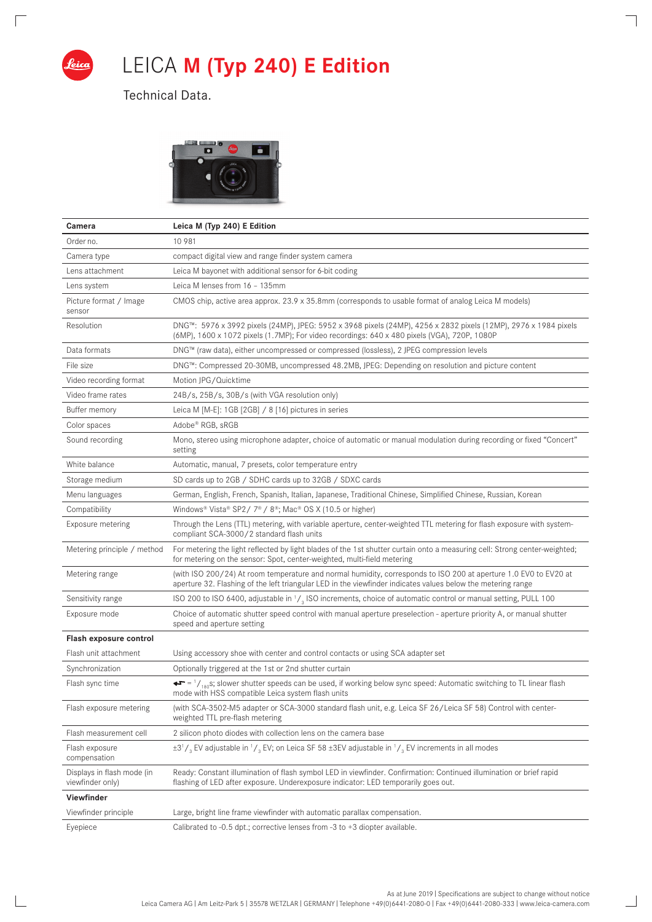

 $\sqrt{2}$ 

 $\mathbb{R}$ 

## LEICA **M (Typ 240) E Edition**

 $\overline{\phantom{a}}$ 

 $\Box$ 

Technical Data.



| Camera                                         | Leica M (Typ 240) E Edition                                                                                                                                                                                                      |
|------------------------------------------------|----------------------------------------------------------------------------------------------------------------------------------------------------------------------------------------------------------------------------------|
| Order no.                                      | 10 981                                                                                                                                                                                                                           |
| Camera type                                    | compact digital view and range finder system camera                                                                                                                                                                              |
| Lens attachment                                | Leica M bayonet with additional sensor for 6-bit coding                                                                                                                                                                          |
| Lens system                                    | Leica M lenses from 16 - 135mm                                                                                                                                                                                                   |
| Picture format / Image<br>sensor               | CMOS chip, active area approx. 23.9 x 35.8mm (corresponds to usable format of analog Leica M models)                                                                                                                             |
| Resolution                                     | DNG™: 5976 x 3992 pixels (24MP), JPEG: 5952 x 3968 pixels (24MP), 4256 x 2832 pixels (12MP), 2976 x 1984 pixels<br>(6MP), 1600 x 1072 pixels (1.7MP); For video recordings: 640 x 480 pixels (VGA), 720P, 1080P                  |
| Data formats                                   | DNG™ (raw data), either uncompressed or compressed (lossless), 2 JPEG compression levels                                                                                                                                         |
| File size                                      | DNG™: Compressed 20-30MB, uncompressed 48.2MB, JPEG: Depending on resolution and picture content                                                                                                                                 |
| Video recording format                         | Motion JPG/Quicktime                                                                                                                                                                                                             |
| Video frame rates                              | 24B/s, 25B/s, 30B/s (with VGA resolution only)                                                                                                                                                                                   |
| Buffer memory                                  | Leica M [M-E]: $1GB$ [2GB] / 8 [16] pictures in series                                                                                                                                                                           |
| Color spaces                                   | Adobe® RGB, sRGB                                                                                                                                                                                                                 |
| Sound recording                                | Mono, stereo using microphone adapter, choice of automatic or manual modulation during recording or fixed "Concert"<br>setting                                                                                                   |
| White balance                                  | Automatic, manual, 7 presets, color temperature entry                                                                                                                                                                            |
| Storage medium                                 | SD cards up to 2GB / SDHC cards up to 32GB / SDXC cards                                                                                                                                                                          |
| Menu languages                                 | German, English, French, Spanish, Italian, Japanese, Traditional Chinese, Simplified Chinese, Russian, Korean                                                                                                                    |
| Compatibility                                  | Windows® Vista® SP2/7®/8®; Mac® OS X (10.5 or higher)                                                                                                                                                                            |
| Exposure metering                              | Through the Lens (TTL) metering, with variable aperture, center-weighted TTL metering for flash exposure with system-<br>compliant SCA-3000/2 standard flash units                                                               |
| Metering principle / method                    | For metering the light reflected by light blades of the 1st shutter curtain onto a measuring cell: Strong center-weighted;<br>for metering on the sensor: Spot, center-weighted, multi-field metering                            |
| Metering range                                 | (with ISO 200/24) At room temperature and normal humidity, corresponds to ISO 200 at aperture 1.0 EV0 to EV20 at<br>aperture 32. Flashing of the left triangular LED in the viewfinder indicates values below the metering range |
| Sensitivity range                              | ISO 200 to ISO 6400, adjustable in $\frac{1}{3}$ ISO increments, choice of automatic control or manual setting, PULL 100                                                                                                         |
| Exposure mode                                  | Choice of automatic shutter speed control with manual aperture preselection - aperture priority A, or manual shutter<br>speed and aperture setting                                                                               |
| Flash exposure control                         |                                                                                                                                                                                                                                  |
| Flash unit attachment                          | Using accessory shoe with center and control contacts or using SCA adapter set                                                                                                                                                   |
| Synchronization                                | Optionally triggered at the 1st or 2nd shutter curtain                                                                                                                                                                           |
| Flash sync time                                | $\bullet\bullet^-$ = $\prime$ <sub>/in0</sub> s; slower shutter speeds can be used, if working below sync speed: Automatic switching to TL linear flash<br>mode with HSS compatible Leica system flash units                     |
| Flash exposure metering                        | (with SCA-3502-M5 adapter or SCA-3000 standard flash unit, e.g. Leica SF 26/Leica SF 58) Control with center-<br>weighted TTL pre-flash metering                                                                                 |
| Flash measurement cell                         | 2 silicon photo diodes with collection lens on the camera base                                                                                                                                                                   |
| Flash exposure<br>compensation                 | $\pm 3^{1}/_{3}$ EV adjustable in $^{1}/_{3}$ EV; on Leica SF 58 $\pm$ 3EV adjustable in $^{1}/_{3}$ EV increments in all modes                                                                                                  |
| Displays in flash mode (in<br>viewfinder only) | Ready: Constant illumination of flash symbol LED in viewfinder. Confirmation: Continued illumination or brief rapid<br>flashing of LED after exposure. Underexposure indicator: LED temporarily goes out.                        |
| Viewfinder                                     |                                                                                                                                                                                                                                  |
| Viewfinder principle                           | Large, bright line frame viewfinder with automatic parallax compensation.                                                                                                                                                        |
| Eyepiece                                       | Calibrated to $-0.5$ dpt.; corrective lenses from $-3$ to $+3$ diopter available.                                                                                                                                                |